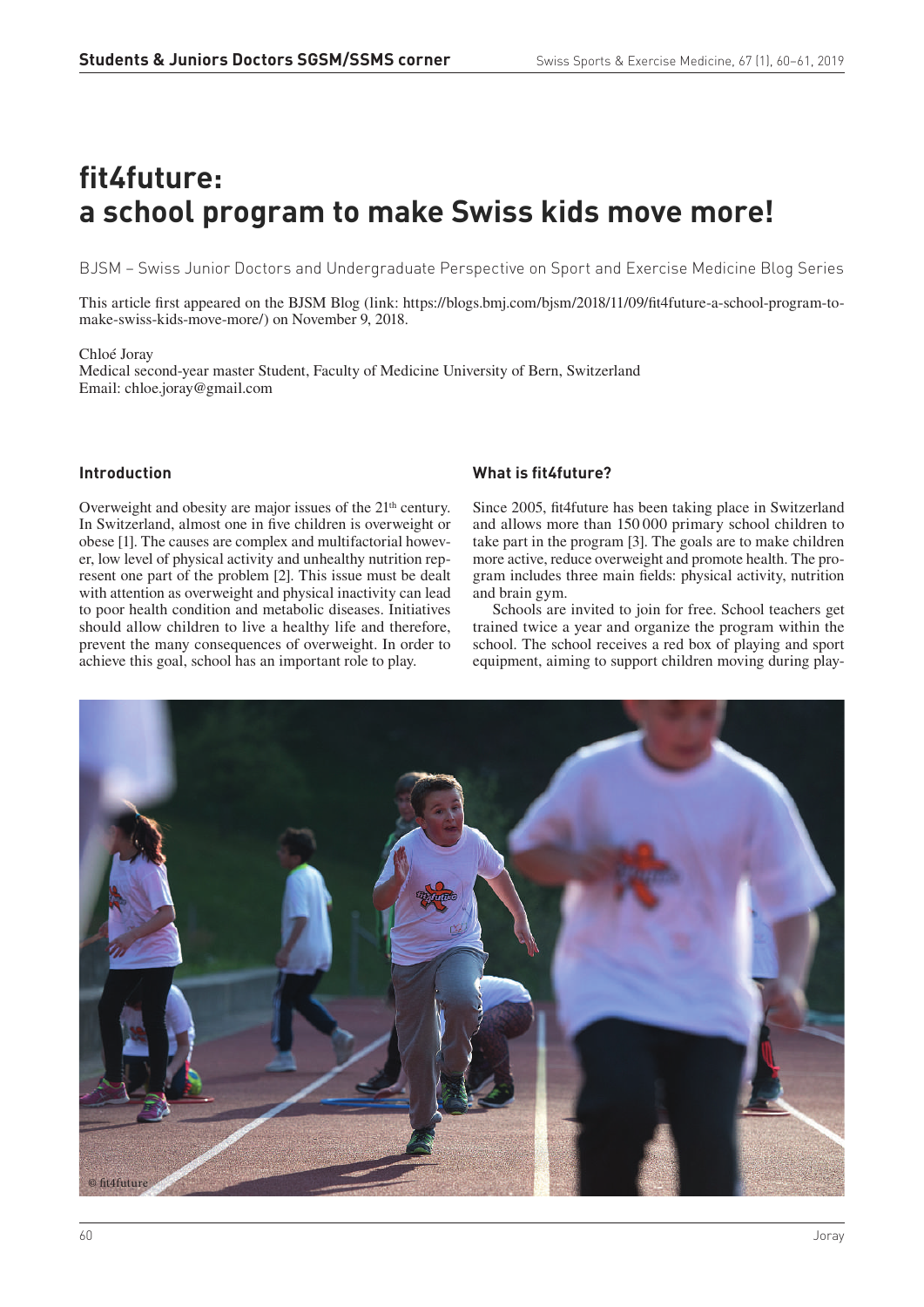# **fit4future: a school program to make Swiss kids move more!**

BJSM – Swiss Junior Doctors and Undergraduate Perspective on Sport and Exercise Medicine Blog Series

This article first appeared on the BJSM Blog (link: https://blogs.bmj.com/bjsm/2018/11/09/fit4future-a-school-program-tomake-swiss-kids-move-more/) on November 9, 2018.

#### Chloé Joray

Medical second-year master Student, Faculty of Medicine University of Bern, Switzerland Email: chloe.joray@gmail.com

#### **Introduction**

Overweight and obesity are major issues of the 21<sup>th</sup> century. In Switzerland, almost one in five children is overweight or obese [1]. The causes are complex and multifactorial however, low level of physical activity and unhealthy nutrition represent one part of the problem [2]. This issue must be dealt with attention as overweight and physical inactivity can lead to poor health condition and metabolic diseases. Initiatives should allow children to live a healthy life and therefore, prevent the many consequences of overweight. In order to achieve this goal, school has an important role to play.

## **What is fit4future?**

Since 2005, fit4future has been taking place in Switzerland and allows more than 150 000 primary school children to take part in the program [3]. The goals are to make children more active, reduce overweight and promote health. The program includes three main fields: physical activity, nutrition and brain gym.

Schools are invited to join for free. School teachers get trained twice a year and organize the program within the school. The school receives a red box of playing and sport equipment, aiming to support children moving during play-